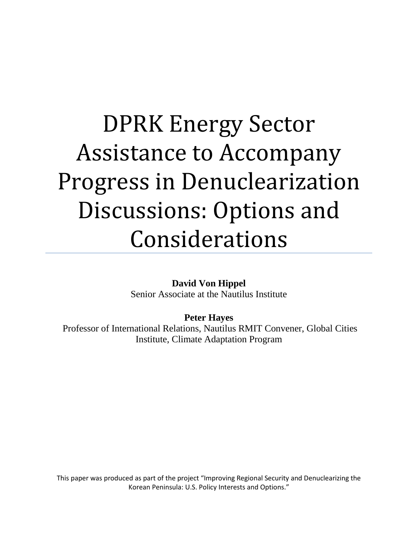# DPRK Energy Sector Assistance to Accompany Progress in Denuclearization Discussions: Options and Considerations

**David Von Hippel** Senior Associate at the Nautilus Institute

**Peter Hayes**

Professor of International Relations, Nautilus RMIT Convener, Global Cities Institute, Climate Adaptation Program

This paper was produced as part of the project "Improving Regional Security and Denuclearizing the Korean Peninsula: U.S. Policy Interests and Options."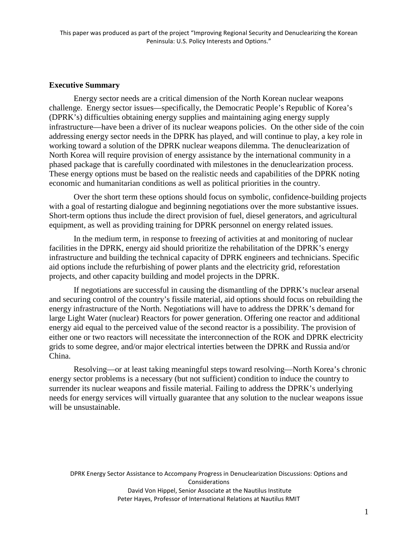## **Executive Summary**

Energy sector needs are a critical dimension of the North Korean nuclear weapons challenge. Energy sector issues—specifically, the Democratic People's Republic of Korea's (DPRK's) difficulties obtaining energy supplies and maintaining aging energy supply infrastructure—have been a driver of its nuclear weapons policies. On the other side of the coin addressing energy sector needs in the DPRK has played, and will continue to play, a key role in working toward a solution of the DPRK nuclear weapons dilemma. The denuclearization of North Korea will require provision of energy assistance by the international community in a phased package that is carefully coordinated with milestones in the denuclearization process. These energy options must be based on the realistic needs and capabilities of the DPRK noting economic and humanitarian conditions as well as political priorities in the country.

Over the short term these options should focus on symbolic, confidence-building projects with a goal of restarting dialogue and beginning negotiations over the more substantive issues. Short-term options thus include the direct provision of fuel, diesel generators, and agricultural equipment, as well as providing training for DPRK personnel on energy related issues.

In the medium term, in response to freezing of activities at and monitoring of nuclear facilities in the DPRK, energy aid should prioritize the rehabilitation of the DPRK's energy infrastructure and building the technical capacity of DPRK engineers and technicians. Specific aid options include the refurbishing of power plants and the electricity grid, reforestation projects, and other capacity building and model projects in the DPRK.

If negotiations are successful in causing the dismantling of the DPRK's nuclear arsenal and securing control of the country's fissile material, aid options should focus on rebuilding the energy infrastructure of the North. Negotiations will have to address the DPRK's demand for large Light Water (nuclear) Reactors for power generation. Offering one reactor and additional energy aid equal to the perceived value of the second reactor is a possibility. The provision of either one or two reactors will necessitate the interconnection of the ROK and DPRK electricity grids to some degree, and/or major electrical interties between the DPRK and Russia and/or China.

Resolving—or at least taking meaningful steps toward resolving—North Korea's chronic energy sector problems is a necessary (but not sufficient) condition to induce the country to surrender its nuclear weapons and fissile material. Failing to address the DPRK's underlying needs for energy services will virtually guarantee that any solution to the nuclear weapons issue will be unsustainable.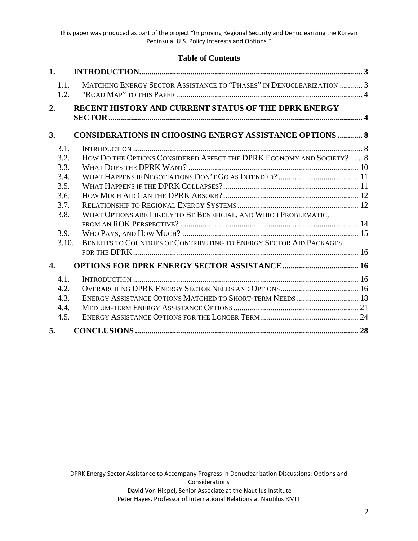# **Table of Contents**

| 1.               |                                                                       |  |
|------------------|-----------------------------------------------------------------------|--|
| 1.1.<br>1.2.     | MATCHING ENERGY SECTOR ASSISTANCE TO "PHASES" IN DENUCLEARIZATION  3  |  |
| 2.               | RECENT HISTORY AND CURRENT STATUS OF THE DPRK ENERGY                  |  |
| 3.               | <b>CONSIDERATIONS IN CHOOSING ENERGY ASSISTANCE OPTIONS  8</b>        |  |
| 3.1.             |                                                                       |  |
| 3.2.             | HOW DO THE OPTIONS CONSIDERED AFFECT THE DPRK ECONOMY AND SOCIETY?  8 |  |
| 3.3.             |                                                                       |  |
| 3.4.             |                                                                       |  |
| 3.5.             |                                                                       |  |
| 3.6.             |                                                                       |  |
| 3.7.             |                                                                       |  |
| 3.8.             | WHAT OPTIONS ARE LIKELY TO BE BENEFICIAL, AND WHICH PROBLEMATIC,      |  |
|                  |                                                                       |  |
| 3.9.             |                                                                       |  |
| 3.10.            | BENEFITS TO COUNTRIES OF CONTRIBUTING TO ENERGY SECTOR AID PACKAGES   |  |
|                  |                                                                       |  |
| $\overline{4}$ . |                                                                       |  |
| 4.1.             |                                                                       |  |
| 4.2.             |                                                                       |  |
| 4.3.             | ENERGY ASSISTANCE OPTIONS MATCHED TO SHORT-TERM NEEDS  18             |  |
| 4.4.             |                                                                       |  |
| 4.5.             |                                                                       |  |
| 5.               |                                                                       |  |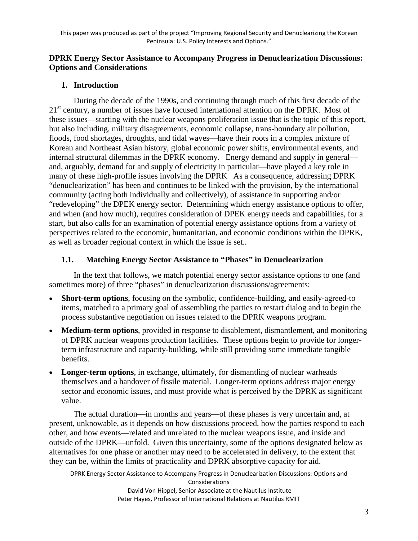## **DPRK Energy Sector Assistance to Accompany Progress in Denuclearization Discussions: Options and Considerations**

# **1. Introduction**

During the decade of the 1990s, and continuing through much of this first decade of the  $21<sup>st</sup>$  century, a number of issues have focused international attention on the DPRK. Most of these issues—starting with the nuclear weapons proliferation issue that is the topic of this report, but also including, military disagreements, economic collapse, trans-boundary air pollution, floods, food shortages, droughts, and tidal waves—have their roots in a complex mixture of Korean and Northeast Asian history, global economic power shifts, environmental events, and internal structural dilemmas in the DPRK economy. Energy demand and supply in general and, arguably, demand for and supply of electricity in particular—have played a key role in many of these high-profile issues involving the DPRK As a consequence, addressing DPRK "denuclearization" has been and continues to be linked with the provision, by the international community (acting both individually and collectively), of assistance in supporting and/or "redeveloping" the DPEK energy sector. Determining which energy assistance options to offer, and when (and how much), requires consideration of DPEK energy needs and capabilities, for a start, but also calls for an examination of potential energy assistance options from a variety of perspectives related to the economic, humanitarian, and economic conditions within the DPRK, as well as broader regional context in which the issue is set..

## **1.1. Matching Energy Sector Assistance to "Phases" in Denuclearization**

In the text that follows, we match potential energy sector assistance options to one (and sometimes more) of three "phases" in denuclearization discussions/agreements:

- **Short-term options**, focusing on the symbolic, confidence-building, and easily-agreed-to items, matched to a primary goal of assembling the parties to restart dialog and to begin the process substantive negotiation on issues related to the DPRK weapons program.
- **Medium-term options**, provided in response to disablement, dismantlement, and monitoring of DPRK nuclear weapons production facilities. These options begin to provide for longerterm infrastructure and capacity-building, while still providing some immediate tangible benefits.
- **Longer-term options**, in exchange, ultimately, for dismantling of nuclear warheads themselves and a handover of fissile material. Longer-term options address major energy sector and economic issues, and must provide what is perceived by the DPRK as significant value.

The actual duration—in months and years—of these phases is very uncertain and, at present, unknowable, as it depends on how discussions proceed, how the parties respond to each other, and how events—related and unrelated to the nuclear weapons issue, and inside and outside of the DPRK—unfold. Given this uncertainty, some of the options designated below as alternatives for one phase or another may need to be accelerated in delivery, to the extent that they can be, within the limits of practicality and DPRK absorptive capacity for aid.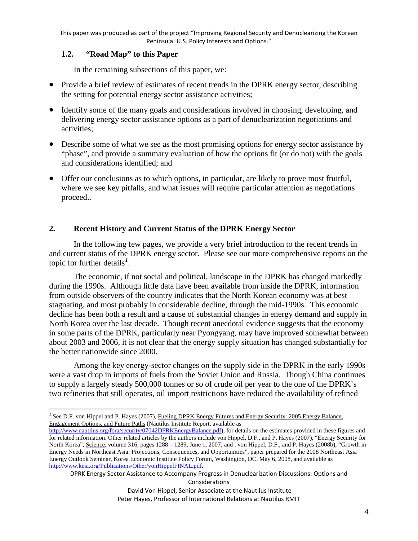# **1.2. "Road Map" to this Paper**

In the remaining subsections of this paper, we:

- Provide a brief review of estimates of recent trends in the DPRK energy sector, describing the setting for potential energy sector assistance activities;
- Identify some of the many goals and considerations involved in choosing, developing, and delivering energy sector assistance options as a part of denuclearization negotiations and activities;
- Describe some of what we see as the most promising options for energy sector assistance by "phase", and provide a summary evaluation of how the options fit (or do not) with the goals and considerations identified; and
- Offer our conclusions as to which options, in particular, are likely to prove most fruitful, where we see key pitfalls, and what issues will require particular attention as negotiations proceed.**.**

# **2. Recent History and Current Status of the DPRK Energy Sector**

In the following few pages, we provide a very brief introduction to the recent trends in and current status of the DPRK energy sector. Please see our more comprehensive reports on the topic for further details*[1](#page-4-0)* .

The economic, if not social and political, landscape in the DPRK has changed markedly during the 1990s. Although little data have been available from inside the DPRK, information from outside observers of the country indicates that the North Korean economy was at best stagnating, and most probably in considerable decline, through the mid-1990s. This economic decline has been both a result and a cause of substantial changes in energy demand and supply in North Korea over the last decade. Though recent anecdotal evidence suggests that the economy in some parts of the DPRK, particularly near Pyongyang, may have improved somewhat between about 2003 and 2006, it is not clear that the energy supply situation has changed substantially for the better nationwide since 2000.

Among the key energy-sector changes on the supply side in the DPRK in the early 1990s were a vast drop in imports of fuels from the Soviet Union and Russia. Though China continues to supply a largely steady 500,000 tonnes or so of crude oil per year to the one of the DPRK's two refineries that still operates, oil import restrictions have reduced the availability of refined

DPRK Energy Sector Assistance to Accompany Progress in Denuclearization Discussions: Options and Considerations

<span id="page-4-0"></span><sup>&</sup>lt;sup>*1*</sup> See D.F. von Hippel and P. Hayes (2007), Fueling DPRK Energy Futures and Energy Security: 2005 Energy Balance, Engagement Options, and Future Paths (Nautilus Institute Report, available as

[http://www.nautilus.org/fora/security/07042DPRKEnergyBalance.pdf\)](http://www.nautilus.org/fora/security/07042DPRKEnergyBalance.pdf), for details on the estimates provided in these figures and for related information. Other related articles by the authors include von Hippel, D.F., and P. Hayes (2007), "Energy Security for North Korea", Science, volume 316, pages 1288 – 1289, June 1, 2007; and . von Hippel, D.F., and P. Hayes (2008b), "Growth in Energy Needs in Northeast Asia: Projections, Consequences, and Opportunities", paper prepared for the 2008 Northeast Asia Energy Outlook Seminar, Korea Economic Institute Policy Forum, Washington, DC, May 6, 2008, and available as [http://www.keia.org/Publications/Other/vonHippelFINAL.pdf.](http://www.keia.org/Publications/Other/vonHippelFINAL.pdf)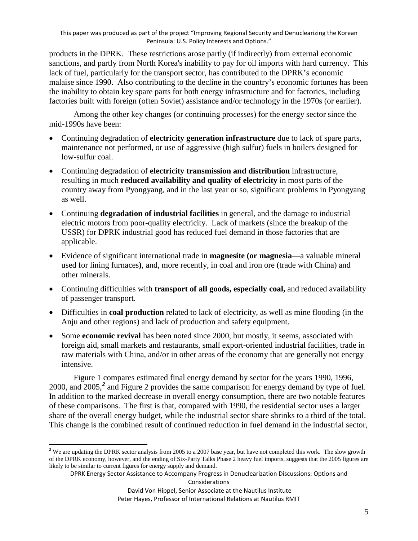products in the DPRK. These restrictions arose partly (if indirectly) from external economic sanctions, and partly from North Korea's inability to pay for oil imports with hard currency. This lack of fuel, particularly for the transport sector, has contributed to the DPRK's economic malaise since 1990. Also contributing to the decline in the country's economic fortunes has been the inability to obtain key spare parts for both energy infrastructure and for factories, including factories built with foreign (often Soviet) assistance and/or technology in the 1970s (or earlier).

Among the other key changes (or continuing processes) for the energy sector since the mid-1990s have been:

- Continuing degradation of **electricity generation infrastructure** due to lack of spare parts, maintenance not performed, or use of aggressive (high sulfur) fuels in boilers designed for low-sulfur coal.
- Continuing degradation of **electricity transmission and distribution** infrastructure, resulting in much **reduced availability and quality of electricity** in most parts of the country away from Pyongyang, and in the last year or so, significant problems in Pyongyang as well.
- Continuing **degradation of industrial facilities** in general, and the damage to industrial electric motors from poor-quality electricity. Lack of markets (since the breakup of the USSR) for DPRK industrial good has reduced fuel demand in those factories that are applicable.
- Evidence of significant international trade in **magnesite (or magnesia**—a valuable mineral used for lining furnaces**)**, and, more recently, in coal and iron ore (trade with China) and other minerals.
- Continuing difficulties with **transport of all goods, especially coal,** and reduced availability of passenger transport.
- Difficulties in **coal production** related to lack of electricity, as well as mine flooding (in the Anju and other regions) and lack of production and safety equipment.
- Some **economic revival** has been noted since 2000, but mostly, it seems, associated with foreign aid, small markets and restaurants, small export-oriented industrial facilities, trade in raw materials with China, and/or in other areas of the economy that are generally not energy intensive.

Figure 1 compares estimated final energy demand by sector for the years 1990, 1996, 2000, and 2005,*[2](#page-5-0)* and Figure 2 provides the same comparison for energy demand by type of fuel. In addition to the marked decrease in overall energy consumption, there are two notable features of these comparisons. The first is that, compared with 1990, the residential sector uses a larger share of the overall energy budget, while the industrial sector share shrinks to a third of the total. This change is the combined result of continued reduction in fuel demand in the industrial sector,

<span id="page-5-0"></span><sup>&</sup>lt;sup>2</sup> We are updating the DPRK sector analysis from 2005 to a 2007 base year, but have not completed this work. The slow growth of the DPRK economy, however, and the ending of Six-Party Talks Phase 2 heavy fuel imports, suggests that the 2005 figures are likely to be similar to current figures for energy supply and demand.

DPRK Energy Sector Assistance to Accompany Progress in Denuclearization Discussions: Options and Considerations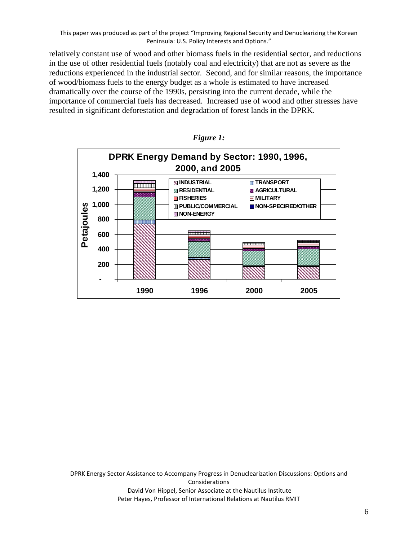relatively constant use of wood and other biomass fuels in the residential sector, and reductions in the use of other residential fuels (notably coal and electricity) that are not as severe as the reductions experienced in the industrial sector. Second, and for similar reasons, the importance of wood/biomass fuels to the energy budget as a whole is estimated to have increased dramatically over the course of the 1990s, persisting into the current decade, while the importance of commercial fuels has decreased. Increased use of wood and other stresses have resulted in significant deforestation and degradation of forest lands in the DPRK.



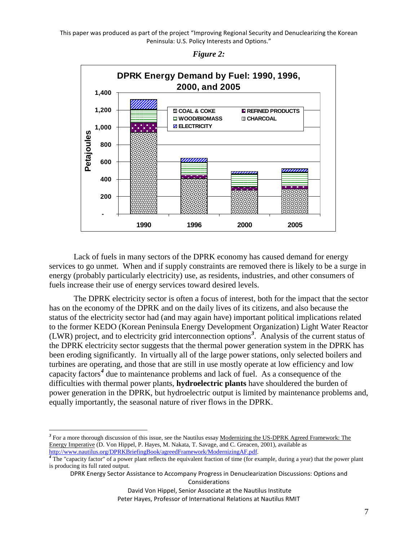

*Figure 2:*

Lack of fuels in many sectors of the DPRK economy has caused demand for energy services to go unmet. When and if supply constraints are removed there is likely to be a surge in energy (probably particularly electricity) use, as residents, industries, and other consumers of fuels increase their use of energy services toward desired levels.

The DPRK electricity sector is often a focus of interest, both for the impact that the sector has on the economy of the DPRK and on the daily lives of its citizens, and also because the status of the electricity sector had (and may again have) important political implications related to the former KEDO (Korean Peninsula Energy Development Organization) Light Water Reactor (LWR) project, and to electricity grid interconnection options*[3](#page-7-0)* . Analysis of the current status of the DPRK electricity sector suggests that the thermal power generation system in the DPRK has been eroding significantly. In virtually all of the large power stations, only selected boilers and turbines are operating, and those that are still in use mostly operate at low efficiency and low capacity factors*[4](#page-7-1)* due to maintenance problems and lack of fuel. As a consequence of the difficulties with thermal power plants, **hydroelectric plants** have shouldered the burden of power generation in the DPRK, but hydroelectric output is limited by maintenance problems and, equally importantly, the seasonal nature of river flows in the DPRK.

<span id="page-7-0"></span><sup>&</sup>lt;sup>3</sup> For a more thorough discussion of this issue, see the Nautilus essay Modernizing the US-DPRK Agreed Framework: The Energy Imperative (D. Von Hippel, P. Hayes, M. Nakata, T. Savage, and C. Greacen, 2001), available as [http://www.nautilus.org/DPRKBriefingBook/agreedFramework/ModernizingAF.pdf.](http://www.nautilus.org/DPRKBriefingBook/agreedFramework/ModernizingAF.pdf) *<sup>4</sup>* The "capacity factor" of a power plant reflects the equivalent fraction of time (for example, during a year) that the power plant

<span id="page-7-1"></span>is producing its full rated output.

DPRK Energy Sector Assistance to Accompany Progress in Denuclearization Discussions: Options and Considerations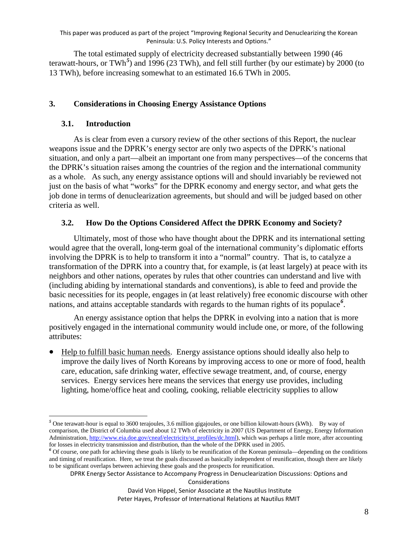The total estimated supply of electricity decreased substantially between 1990 (46 terawatt-hours, or TWh*[5](#page-8-0)* ) and 1996 (23 TWh), and fell still further (by our estimate) by 2000 (to 13 TWh), before increasing somewhat to an estimated 16.6 TWh in 2005.

# **3. Considerations in Choosing Energy Assistance Options**

## **3.1. Introduction**

As is clear from even a cursory review of the other sections of this Report, the nuclear weapons issue and the DPRK's energy sector are only two aspects of the DPRK's national situation, and only a part—albeit an important one from many perspectives—of the concerns that the DPRK's situation raises among the countries of the region and the international community as a whole. As such, any energy assistance options will and should invariably be reviewed not just on the basis of what "works" for the DPRK economy and energy sector, and what gets the job done in terms of denuclearization agreements, but should and will be judged based on other criteria as well.

## **3.2. How Do the Options Considered Affect the DPRK Economy and Society?**

Ultimately, most of those who have thought about the DPRK and its international setting would agree that the overall, long-term goal of the international community's diplomatic efforts involving the DPRK is to help to transform it into a "normal" country. That is, to catalyze a transformation of the DPRK into a country that, for example, is (at least largely) at peace with its neighbors and other nations, operates by rules that other countries can understand and live with (including abiding by international standards and conventions), is able to feed and provide the basic necessities for its people, engages in (at least relatively) free economic discourse with other nations, and attains acceptable standards with regards to the human rights of its populace*[6](#page-8-1)* .

An energy assistance option that helps the DPRK in evolving into a nation that is more positively engaged in the international community would include one, or more, of the following attributes:

• Help to fulfill basic human needs. Energy assistance options should ideally also help to improve the daily lives of North Koreans by improving access to one or more of food, health care, education, safe drinking water, effective sewage treatment, and, of course, energy services. Energy services here means the services that energy use provides, including lighting, home/office heat and cooling, cooking, reliable electricity supplies to allow

<span id="page-8-0"></span><sup>&</sup>lt;sup>5</sup> One terawatt-hour is equal to 3600 terajoules, 3.6 million gigajoules, or one billion kilowatt-hours (kWh). By way of comparison, the District of Columbia used about 12 TWh of electricity in 2007 (US Department of Energy, Energy Information Administration, [http://www.eia.doe.gov/cneaf/electricity/st\\_profiles/dc.html\)](http://www.eia.doe.gov/cneaf/electricity/st_profiles/dc.html), which was perhaps a little more, after accounting for losses in electricity transmission and distribution, than the whole of the DPRK used in 2

<span id="page-8-1"></span> $\delta$  Of course, one path for achieving these goals is likely to be reunification of the Korean peninsula—depending on the conditions and timing of reunification. Here, we treat the goals discussed as basically independent of reunification, though there are likely to be significant overlaps between achieving these goals and the prospects for reunification.

DPRK Energy Sector Assistance to Accompany Progress in Denuclearization Discussions: Options and Considerations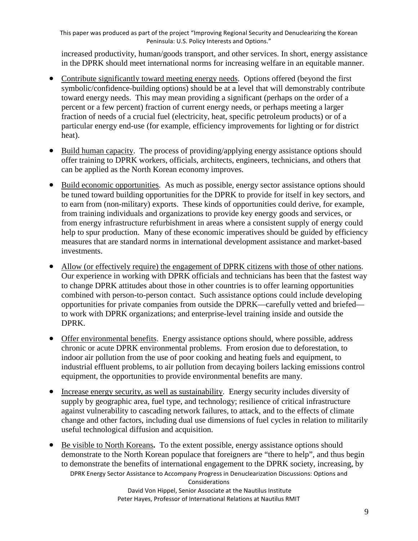increased productivity, human/goods transport, and other services. In short, energy assistance in the DPRK should meet international norms for increasing welfare in an equitable manner.

- Contribute significantly toward meeting energy needs. Options offered (beyond the first symbolic/confidence-building options) should be at a level that will demonstrably contribute toward energy needs. This may mean providing a significant (perhaps on the order of a percent or a few percent) fraction of current energy needs, or perhaps meeting a larger fraction of needs of a crucial fuel (electricity, heat, specific petroleum products) or of a particular energy end-use (for example, efficiency improvements for lighting or for district heat).
- Build human capacity. The process of providing/applying energy assistance options should offer training to DPRK workers, officials, architects, engineers, technicians, and others that can be applied as the North Korean economy improves.
- Build economic opportunities. As much as possible, energy sector assistance options should be tuned toward building opportunities for the DPRK to provide for itself in key sectors, and to earn from (non-military) exports. These kinds of opportunities could derive, for example, from training individuals and organizations to provide key energy goods and services, or from energy infrastructure refurbishment in areas where a consistent supply of energy could help to spur production. Many of these economic imperatives should be guided by efficiency measures that are standard norms in international development assistance and market-based investments.
- Allow (or effectively require) the engagement of DPRK citizens with those of other nations. Our experience in working with DPRK officials and technicians has been that the fastest way to change DPRK attitudes about those in other countries is to offer learning opportunities combined with person-to-person contact. Such assistance options could include developing opportunities for private companies from outside the DPRK—carefully vetted and briefed to work with DPRK organizations; and enterprise-level training inside and outside the DPRK.
- Offer environmental benefits. Energy assistance options should, where possible, address chronic or acute DPRK environmental problems. From erosion due to deforestation, to indoor air pollution from the use of poor cooking and heating fuels and equipment, to industrial effluent problems, to air pollution from decaying boilers lacking emissions control equipment, the opportunities to provide environmental benefits are many.
- Increase energy security, as well as sustainability. Energy security includes diversity of supply by geographic area, fuel type, and technology; resilience of critical infrastructure against vulnerability to cascading network failures, to attack, and to the effects of climate change and other factors, including dual use dimensions of fuel cycles in relation to militarily useful technological diffusion and acquisition.
- DPRK Energy Sector Assistance to Accompany Progress in Denuclearization Discussions: Options and Considerations • Be visible to North Koreans**.** To the extent possible, energy assistance options should demonstrate to the North Korean populace that foreigners are "there to help", and thus begin to demonstrate the benefits of international engagement to the DPRK society, increasing, by

David Von Hippel, Senior Associate at the Nautilus Institute Peter Hayes, Professor of International Relations at Nautilus RMIT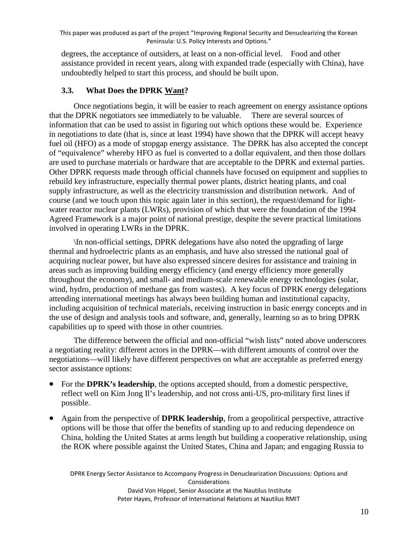degrees, the acceptance of outsiders, at least on a non-official level. Food and other assistance provided in recent years, along with expanded trade (especially with China), have undoubtedly helped to start this process, and should be built upon.

## **3.3. What Does the DPRK Want?**

Once negotiations begin, it will be easier to reach agreement on energy assistance options that the DPRK negotiators see immediately to be valuable. There are several sources of information that can be used to assist in figuring out which options these would be. Experience in negotiations to date (that is, since at least 1994) have shown that the DPRK will accept heavy fuel oil (HFO) as a mode of stopgap energy assistance. The DPRK has also accepted the concept of "equivalence" whereby HFO as fuel is converted to a dollar equivalent, and then those dollars are used to purchase materials or hardware that are acceptable to the DPRK and external parties. Other DPRK requests made through official channels have focused on equipment and supplies to rebuild key infrastructure, especially thermal power plants, district heating plants, and coal supply infrastructure, as well as the electricity transmission and distribution network. And of course (and we touch upon this topic again later in this section), the request/demand for lightwater reactor nuclear plants (LWRs), provision of which that were the foundation of the 1994 Agreed Framework is a major point of national prestige, despite the severe practical limitations involved in operating LWRs in the DPRK.

\In non-official settings, DPRK delegations have also noted the upgrading of large thermal and hydroelectric plants as an emphasis, and have also stressed the national goal of acquiring nuclear power, but have also expressed sincere desires for assistance and training in areas such as improving building energy efficiency (and energy efficiency more generally throughout the economy), and small- and medium-scale renewable energy technologies (solar, wind, hydro, production of methane gas from wastes). A key focus of DPRK energy delegations attending international meetings has always been building human and institutional capacity, including acquisition of technical materials, receiving instruction in basic energy concepts and in the use of design and analysis tools and software, and, generally, learning so as to bring DPRK capabilities up to speed with those in other countries.

The difference between the official and non-official "wish lists" noted above underscores a negotiating reality: different actors in the DPRK—with different amounts of control over the negotiations—will likely have different perspectives on what are acceptable as preferred energy sector assistance options:

- For the **DPRK's leadership**, the options accepted should, from a domestic perspective, reflect well on Kim Jong Il's leadership, and not cross anti-US, pro-military first lines if possible.
- Again from the perspective of **DPRK leadership**, from a geopolitical perspective, attractive options will be those that offer the benefits of standing up to and reducing dependence on China, holding the United States at arms length but building a cooperative relationship, using the ROK where possible against the United States, China and Japan; and engaging Russia to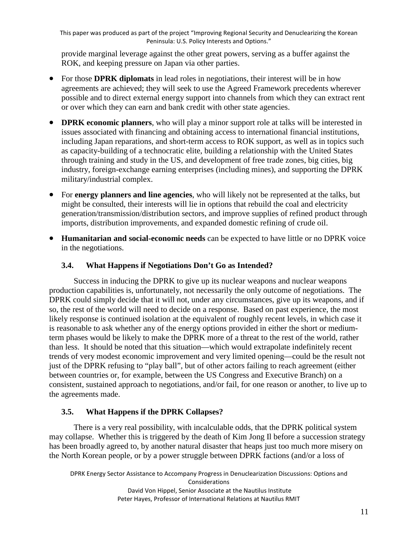provide marginal leverage against the other great powers, serving as a buffer against the ROK, and keeping pressure on Japan via other parties.

- For those **DPRK diplomats** in lead roles in negotiations, their interest will be in how agreements are achieved; they will seek to use the Agreed Framework precedents wherever possible and to direct external energy support into channels from which they can extract rent or over which they can earn and bank credit with other state agencies.
- **DPRK economic planners**, who will play a minor support role at talks will be interested in issues associated with financing and obtaining access to international financial institutions, including Japan reparations, and short-term access to ROK support, as well as in topics such as capacity-building of a technocratic elite, building a relationship with the United States through training and study in the US, and development of free trade zones, big cities, big industry, foreign-exchange earning enterprises (including mines), and supporting the DPRK military/industrial complex.
- For **energy planners and line agencies**, who will likely not be represented at the talks, but might be consulted, their interests will lie in options that rebuild the coal and electricity generation/transmission/distribution sectors, and improve supplies of refined product through imports, distribution improvements, and expanded domestic refining of crude oil.
- **Humanitarian and social-economic needs** can be expected to have little or no DPRK voice in the negotiations.

# **3.4. What Happens if Negotiations Don't Go as Intended?**

Success in inducing the DPRK to give up its nuclear weapons and nuclear weapons production capabilities is, unfortunately, not necessarily the only outcome of negotiations. The DPRK could simply decide that it will not, under any circumstances, give up its weapons, and if so, the rest of the world will need to decide on a response. Based on past experience, the most likely response is continued isolation at the equivalent of roughly recent levels, in which case it is reasonable to ask whether any of the energy options provided in either the short or mediumterm phases would be likely to make the DPRK more of a threat to the rest of the world, rather than less. It should be noted that this situation—which would extrapolate indefinitely recent trends of very modest economic improvement and very limited opening—could be the result not just of the DPRK refusing to "play ball", but of other actors failing to reach agreement (either between countries or, for example, between the US Congress and Executive Branch) on a consistent, sustained approach to negotiations, and/or fail, for one reason or another, to live up to the agreements made.

# **3.5. What Happens if the DPRK Collapses?**

There is a very real possibility, with incalculable odds, that the DPRK political system may collapse. Whether this is triggered by the death of Kim Jong Il before a succession strategy has been broadly agreed to, by another natural disaster that heaps just too much more misery on the North Korean people, or by a power struggle between DPRK factions (and/or a loss of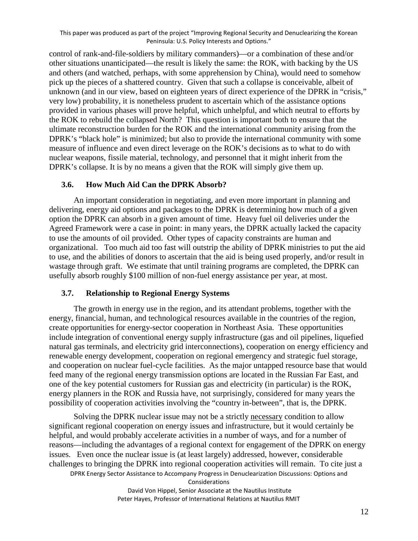control of rank-and-file-soldiers by military commanders)—or a combination of these and/or other situations unanticipated—the result is likely the same: the ROK, with backing by the US and others (and watched, perhaps, with some apprehension by China), would need to somehow pick up the pieces of a shattered country. Given that such a collapse is conceivable, albeit of unknown (and in our view, based on eighteen years of direct experience of the DPRK in "crisis," very low) probability, it is nonetheless prudent to ascertain which of the assistance options provided in various phases will prove helpful, which unhelpful, and which neutral to efforts by the ROK to rebuild the collapsed North? This question is important both to ensure that the ultimate reconstruction burden for the ROK and the international community arising from the DPRK's "black hole" is minimized; but also to provide the international community with some measure of influence and even direct leverage on the ROK's decisions as to what to do with nuclear weapons, fissile material, technology, and personnel that it might inherit from the DPRK's collapse. It is by no means a given that the ROK will simply give them up.

#### **3.6. How Much Aid Can the DPRK Absorb?**

An important consideration in negotiating, and even more important in planning and delivering, energy aid options and packages to the DPRK is determining how much of a given option the DPRK can absorb in a given amount of time. Heavy fuel oil deliveries under the Agreed Framework were a case in point: in many years, the DPRK actually lacked the capacity to use the amounts of oil provided. Other types of capacity constraints are human and organizational. Too much aid too fast will outstrip the ability of DPRK ministries to put the aid to use, and the abilities of donors to ascertain that the aid is being used properly, and/or result in wastage through graft. We estimate that until training programs are completed, the DPRK can usefully absorb roughly \$100 million of non-fuel energy assistance per year, at most.

#### **3.7. Relationship to Regional Energy Systems**

The growth in energy use in the region, and its attendant problems, together with the energy, financial, human, and technological resources available in the countries of the region, create opportunities for energy-sector cooperation in Northeast Asia. These opportunities include integration of conventional energy supply infrastructure (gas and oil pipelines, liquefied natural gas terminals, and electricity grid interconnections), cooperation on energy efficiency and renewable energy development, cooperation on regional emergency and strategic fuel storage, and cooperation on nuclear fuel-cycle facilities. As the major untapped resource base that would feed many of the regional energy transmission options are located in the Russian Far East, and one of the key potential customers for Russian gas and electricity (in particular) is the ROK, energy planners in the ROK and Russia have, not surprisingly, considered for many years the possibility of cooperation activities involving the "country in-between", that is, the DPRK.

Solving the DPRK nuclear issue may not be a strictly necessary condition to allow significant regional cooperation on energy issues and infrastructure, but it would certainly be helpful, and would probably accelerate activities in a number of ways, and for a number of reasons—including the advantages of a regional context for engagement of the DPRK on energy issues. Even once the nuclear issue is (at least largely) addressed, however, considerable challenges to bringing the DPRK into regional cooperation activities will remain. To cite just a

DPRK Energy Sector Assistance to Accompany Progress in Denuclearization Discussions: Options and

Considerations

David Von Hippel, Senior Associate at the Nautilus Institute Peter Hayes, Professor of International Relations at Nautilus RMIT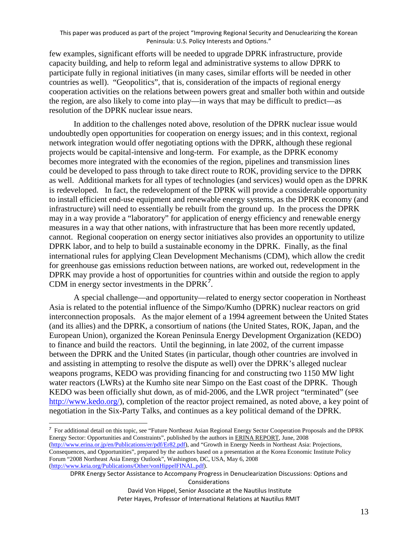few examples, significant efforts will be needed to upgrade DPRK infrastructure, provide capacity building, and help to reform legal and administrative systems to allow DPRK to participate fully in regional initiatives (in many cases, similar efforts will be needed in other countries as well). "Geopolitics", that is, consideration of the impacts of regional energy cooperation activities on the relations between powers great and smaller both within and outside the region, are also likely to come into play—in ways that may be difficult to predict—as resolution of the DPRK nuclear issue nears.

In addition to the challenges noted above, resolution of the DPRK nuclear issue would undoubtedly open opportunities for cooperation on energy issues; and in this context, regional network integration would offer negotiating options with the DPRK, although these regional projects would be capital-intensive and long-term. For example, as the DPRK economy becomes more integrated with the economies of the region, pipelines and transmission lines could be developed to pass through to take direct route to ROK, providing service to the DPRK as well. Additional markets for all types of technologies (and services) would open as the DPRK is redeveloped. In fact, the redevelopment of the DPRK will provide a considerable opportunity to install efficient end-use equipment and renewable energy systems, as the DPRK economy (and infrastructure) will need to essentially be rebuilt from the ground up. In the process the DPRK may in a way provide a "laboratory" for application of energy efficiency and renewable energy measures in a way that other nations, with infrastructure that has been more recently updated, cannot. Regional cooperation on energy sector initiatives also provides an opportunity to utilize DPRK labor, and to help to build a sustainable economy in the DPRK. Finally, as the final international rules for applying Clean Development Mechanisms (CDM), which allow the credit for greenhouse gas emissions reduction between nations, are worked out, redevelopment in the DPRK may provide a host of opportunities for countries within and outside the region to apply CDM in energy sector investments in the DPRK*[7](#page-13-0)* .

A special challenge—and opportunity—related to energy sector cooperation in Northeast Asia is related to the potential influence of the Simpo/Kumho (DPRK) nuclear reactors on grid interconnection proposals. As the major element of a 1994 agreement between the United States (and its allies) and the DPRK, a consortium of nations (the United States, ROK, Japan, and the European Union), organized the Korean Peninsula Energy Development Organization (KEDO) to finance and build the reactors. Until the beginning, in late 2002, of the current impasse between the DPRK and the United States (in particular, though other countries are involved in and assisting in attempting to resolve the dispute as well) over the DPRK's alleged nuclear weapons programs, KEDO was providing financing for and constructing two 1150 MW light water reactors (LWRs) at the Kumho site near Simpo on the East coast of the DPRK. Though KEDO was been officially shut down, as of mid-2006, and the LWR project "terminated" (see [http://www.kedo.org/\)](http://www.kedo.org/), completion of the reactor project remained, as noted above, a key point of negotiation in the Six-Party Talks, and continues as a key political demand of the DPRK.

<span id="page-13-0"></span>*7* For additional detail on this topic, see "Future Northeast Asian Regional Energy Sector Cooperation Proposals and the DPRK Energy Sector: Opportunities and Constraints", published by the authors in ERINA REPORT, June, 2008 [\(http://www.erina.or.jp/en/Publications/er/pdf/Er82.pdf\)](http://www.erina.or.jp/en/Publications/er/pdf/Er82.pdf), and "Growth in Energy Needs in Northeast Asia: Projections, Consequences, and Opportunities", prepared by the authors based on a presentation at the Korea Economic Institute Policy Forum "2008 Northeast Asia Energy Outlook", Washington, DC, USA, May 6, 2008 [\(http://www.keia.org/Publications/Other/vonHippelFINAL.pdf\)](http://www.keia.org/Publications/Other/vonHippelFINAL.pdf).

DPRK Energy Sector Assistance to Accompany Progress in Denuclearization Discussions: Options and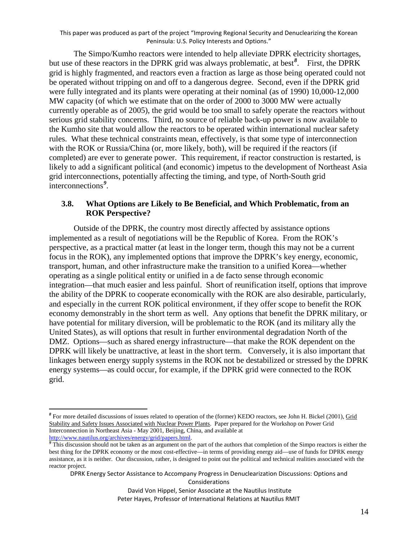The Simpo/Kumho reactors were intended to help alleviate DPRK electricity shortages, but use of these reactors in the DPRK grid was always problematic, at best*[8](#page-14-0)* . First, the DPRK grid is highly fragmented, and reactors even a fraction as large as those being operated could not be operated without tripping on and off to a dangerous degree. Second, even if the DPRK grid were fully integrated and its plants were operating at their nominal (as of 1990) 10,000-12,000 MW capacity (of which we estimate that on the order of 2000 to 3000 MW were actually currently operable as of 2005), the grid would be too small to safely operate the reactors without serious grid stability concerns. Third, no source of reliable back-up power is now available to the Kumho site that would allow the reactors to be operated within international nuclear safety rules. What these technical constraints mean, effectively, is that some type of interconnection with the ROK or Russia/China (or, more likely, both), will be required if the reactors (if completed) are ever to generate power. This requirement, if reactor construction is restarted, is likely to add a significant political (and economic) impetus to the development of Northeast Asia grid interconnections, potentially affecting the timing, and type, of North-South grid interconnections*[9](#page-14-1)* .

## **3.8. What Options are Likely to Be Beneficial, and Which Problematic, from an ROK Perspective?**

Outside of the DPRK, the country most directly affected by assistance options implemented as a result of negotiations will be the Republic of Korea. From the ROK's perspective, as a practical matter (at least in the longer term, though this may not be a current focus in the ROK), any implemented options that improve the DPRK's key energy, economic, transport, human, and other infrastructure make the transition to a unified Korea—whether operating as a single political entity or unified in a de facto sense through economic integration—that much easier and less painful. Short of reunification itself, options that improve the ability of the DPRK to cooperate economically with the ROK are also desirable, particularly, and especially in the current ROK political environment, if they offer scope to benefit the ROK economy demonstrably in the short term as well. Any options that benefit the DPRK military, or have potential for military diversion, will be problematic to the ROK (and its military ally the United States), as will options that result in further environmental degradation North of the DMZ. Options—such as shared energy infrastructure—that make the ROK dependent on the DPRK will likely be unattractive, at least in the short term. Conversely, it is also important that linkages between energy supply systems in the ROK not be destabilized or stressed by the DPRK energy systems—as could occur, for example, if the DPRK grid were connected to the ROK grid.

DPRK Energy Sector Assistance to Accompany Progress in Denuclearization Discussions: Options and Considerations

<span id="page-14-0"></span>*<sup>8</sup>* For more detailed discussions of issues related to operation of the (former) KEDO reactors, see John H. Bickel (2001), Grid Stability and Safety Issues Associated with Nuclear Power Plants. Paper prepared for the Workshop on Power Grid Interconnection in Northeast Asia - May 2001, Beijing, China, and available at http://www.nautilus.org/archives/energy/grid/papers.html.

<span id="page-14-1"></span><sup>&</sup>lt;sup>9</sup> This discussion should not be taken as an argument on the part of the authors that completion of the Simpo reactors is either the best thing for the DPRK economy or the most cost-effective—in terms of providing energy aid—use of funds for DPRK energy assistance, as it is neither. Our discussion, rather, is designed to point out the political and technical realities associated with the reactor project.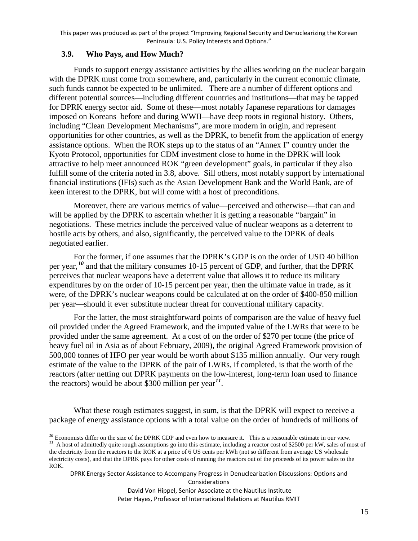## **3.9. Who Pays, and How Much?**

Funds to support energy assistance activities by the allies working on the nuclear bargain with the DPRK must come from somewhere, and, particularly in the current economic climate, such funds cannot be expected to be unlimited. There are a number of different options and different potential sources—including different countries and institutions—that may be tapped for DPRK energy sector aid. Some of these—most notably Japanese reparations for damages imposed on Koreans before and during WWII—have deep roots in regional history. Others, including "Clean Development Mechanisms", are more modern in origin, and represent opportunities for other countries, as well as the DPRK, to benefit from the application of energy assistance options. When the ROK steps up to the status of an "Annex I" country under the Kyoto Protocol, opportunities for CDM investment close to home in the DPRK will look attractive to help meet announced ROK "green development" goals, in particular if they also fulfill some of the criteria noted in 3.8, above. Sill others, most notably support by international financial institutions (IFIs) such as the Asian Development Bank and the World Bank, are of keen interest to the DPRK, but will come with a host of preconditions.

Moreover, there are various metrics of value—perceived and otherwise—that can and will be applied by the DPRK to ascertain whether it is getting a reasonable "bargain" in negotiations. These metrics include the perceived value of nuclear weapons as a deterrent to hostile acts by others, and also, significantly, the perceived value to the DPRK of deals negotiated earlier.

For the former, if one assumes that the DPRK's GDP is on the order of USD 40 billion per year,*[10](#page-15-0)* and that the military consumes 10-15 percent of GDP, and further, that the DPRK perceives that nuclear weapons have a deterrent value that allows it to reduce its military expenditures by on the order of 10-15 percent per year, then the ultimate value in trade, as it were, of the DPRK's nuclear weapons could be calculated at on the order of \$400-850 million per year—should it ever substitute nuclear threat for conventional military capacity.

For the latter, the most straightforward points of comparison are the value of heavy fuel oil provided under the Agreed Framework, and the imputed value of the LWRs that were to be provided under the same agreement. At a cost of on the order of \$270 per tonne (the price of heavy fuel oil in Asia as of about February, 2009), the original Agreed Framework provision of 500,000 tonnes of HFO per year would be worth about \$135 million annually. Our very rough estimate of the value to the DPRK of the pair of LWRs, if completed, is that the worth of the reactors (after netting out DPRK payments on the low-interest, long-term loan used to finance the reactors) would be about \$300 million per year *[11](#page-15-1)*.

What these rough estimates suggest, in sum, is that the DPRK will expect to receive a package of energy assistance options with a total value on the order of hundreds of millions of

DPRK Energy Sector Assistance to Accompany Progress in Denuclearization Discussions: Options and Considerations

> David Von Hippel, Senior Associate at the Nautilus Institute Peter Hayes, Professor of International Relations at Nautilus RMIT

<span id="page-15-1"></span><span id="page-15-0"></span><sup>&</sup>lt;sup>10</sup> Economists differ on the size of the DPRK GDP and even how to measure it. This is a reasonable estimate in our view.<br><sup>11</sup> A host of admittedly quite rough assumptions go into this estimate, including a reactor cost o the electricity from the reactors to the ROK at a price of 6 US cents per kWh (not so different from average US wholesale electricity costs), and that the DPRK pays for other costs of running the reactors out of the proceeds of its power sales to the ROK.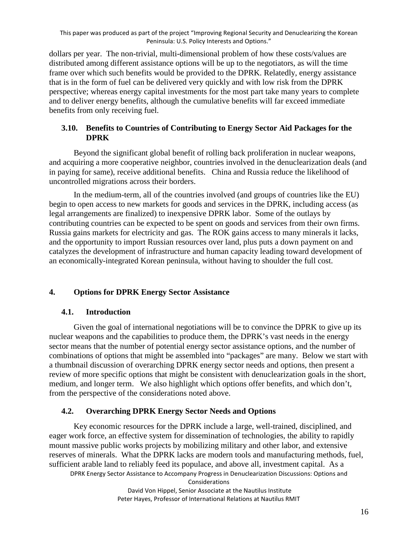dollars per year. The non-trivial, multi-dimensional problem of how these costs/values are distributed among different assistance options will be up to the negotiators, as will the time frame over which such benefits would be provided to the DPRK. Relatedly, energy assistance that is in the form of fuel can be delivered very quickly and with low risk from the DPRK perspective; whereas energy capital investments for the most part take many years to complete and to deliver energy benefits, although the cumulative benefits will far exceed immediate benefits from only receiving fuel.

## **3.10. Benefits to Countries of Contributing to Energy Sector Aid Packages for the DPRK**

Beyond the significant global benefit of rolling back proliferation in nuclear weapons, and acquiring a more cooperative neighbor, countries involved in the denuclearization deals (and in paying for same), receive additional benefits. China and Russia reduce the likelihood of uncontrolled migrations across their borders.

In the medium-term, all of the countries involved (and groups of countries like the EU) begin to open access to new markets for goods and services in the DPRK, including access (as legal arrangements are finalized) to inexpensive DPRK labor. Some of the outlays by contributing countries can be expected to be spent on goods and services from their own firms. Russia gains markets for electricity and gas. The ROK gains access to many minerals it lacks, and the opportunity to import Russian resources over land, plus puts a down payment on and catalyzes the development of infrastructure and human capacity leading toward development of an economically-integrated Korean peninsula, without having to shoulder the full cost.

# **4. Options for DPRK Energy Sector Assistance**

## **4.1. Introduction**

Given the goal of international negotiations will be to convince the DPRK to give up its nuclear weapons and the capabilities to produce them, the DPRK's vast needs in the energy sector means that the number of potential energy sector assistance options, and the number of combinations of options that might be assembled into "packages" are many. Below we start with a thumbnail discussion of overarching DPRK energy sector needs and options, then present a review of more specific options that might be consistent with denuclearization goals in the short, medium, and longer term. We also highlight which options offer benefits, and which don't, from the perspective of the considerations noted above.

# **4.2. Overarching DPRK Energy Sector Needs and Options**

Key economic resources for the DPRK include a large, well-trained, disciplined, and eager work force, an effective system for dissemination of technologies, the ability to rapidly mount massive public works projects by mobilizing military and other labor, and extensive reserves of minerals. What the DPRK lacks are modern tools and manufacturing methods, fuel, sufficient arable land to reliably feed its populace, and above all, investment capital. As a

DPRK Energy Sector Assistance to Accompany Progress in Denuclearization Discussions: Options and Considerations

> David Von Hippel, Senior Associate at the Nautilus Institute Peter Hayes, Professor of International Relations at Nautilus RMIT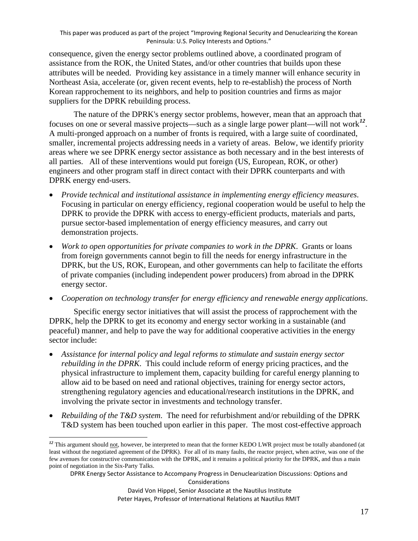consequence, given the energy sector problems outlined above, a coordinated program of assistance from the ROK, the United States, and/or other countries that builds upon these attributes will be needed. Providing key assistance in a timely manner will enhance security in Northeast Asia, accelerate (or, given recent events, help to re-establish) the process of North Korean rapprochement to its neighbors, and help to position countries and firms as major suppliers for the DPRK rebuilding process.

The nature of the DPRK's energy sector problems, however, mean that an approach that focuses on one or several massive projects—such as a single large power plant—will not work*[12](#page-17-0)* . A multi-pronged approach on a number of fronts is required, with a large suite of coordinated, smaller, incremental projects addressing needs in a variety of areas. Below, we identify priority areas where we see DPRK energy sector assistance as both necessary and in the best interests of all parties. All of these interventions would put foreign (US, European, ROK, or other) engineers and other program staff in direct contact with their DPRK counterparts and with DPRK energy end-users.

- *Provide technical and institutional assistance in implementing energy efficiency measures*. Focusing in particular on energy efficiency, regional cooperation would be useful to help the DPRK to provide the DPRK with access to energy-efficient products, materials and parts, pursue sector-based implementation of energy efficiency measures, and carry out demonstration projects.
- *Work to open opportunities for private companies to work in the DPRK*. Grants or loans from foreign governments cannot begin to fill the needs for energy infrastructure in the DPRK, but the US, ROK, European, and other governments can help to facilitate the efforts of private companies (including independent power producers) from abroad in the DPRK energy sector.
- *Cooperation on technology transfer for energy efficiency and renewable energy applications*.

Specific energy sector initiatives that will assist the process of rapprochement with the DPRK, help the DPRK to get its economy and energy sector working in a sustainable (and peaceful) manner, and help to pave the way for additional cooperative activities in the energy sector include:

- *Assistance for internal policy and legal reforms to stimulate and sustain energy sector rebuilding in the DPRK*. This could include reform of energy pricing practices, and the physical infrastructure to implement them, capacity building for careful energy planning to allow aid to be based on need and rational objectives, training for energy sector actors, strengthening regulatory agencies and educational/research institutions in the DPRK, and involving the private sector in investments and technology transfer.
- *Rebuilding of the T&D system*. The need for refurbishment and/or rebuilding of the DPRK T&D system has been touched upon earlier in this paper. The most cost-effective approach

<span id="page-17-0"></span><sup>&</sup>lt;sup>12</sup> This argument should not, however, be interpreted to mean that the former KEDO LWR project must be totally abandoned (at least without the negotiated agreement of the DPRK). For all of its many faults, the reactor project, when active, was one of the few avenues for constructive communication with the DPRK, and it remains a political priority for the DPRK, and thus a main point of negotiation in the Six-Party Talks.

DPRK Energy Sector Assistance to Accompany Progress in Denuclearization Discussions: Options and Considerations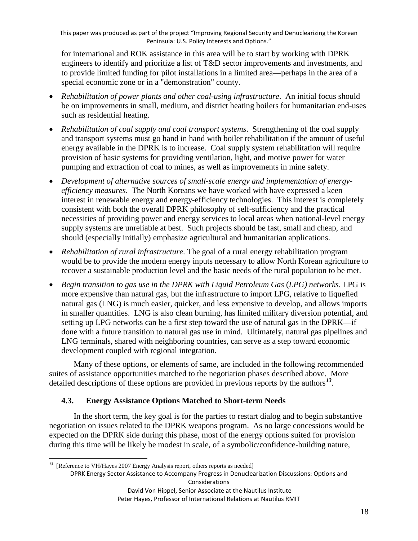for international and ROK assistance in this area will be to start by working with DPRK engineers to identify and prioritize a list of T&D sector improvements and investments, and to provide limited funding for pilot installations in a limited area—perhaps in the area of a special economic zone or in a "demonstration" county.

- *Rehabilitation of power plants and other coal-using infrastructure*. An initial focus should be on improvements in small, medium, and district heating boilers for humanitarian end-uses such as residential heating.
- *Rehabilitation of coal supply and coal transport systems*. Strengthening of the coal supply and transport systems must go hand in hand with boiler rehabilitation if the amount of useful energy available in the DPRK is to increase. Coal supply system rehabilitation will require provision of basic systems for providing ventilation, light, and motive power for water pumping and extraction of coal to mines, as well as improvements in mine safety.
- *Development of alternative sources of small-scale energy and implementation of energyefficiency measures*. The North Koreans we have worked with have expressed a keen interest in renewable energy and energy-efficiency technologies. This interest is completely consistent with both the overall DPRK philosophy of self-sufficiency and the practical necessities of providing power and energy services to local areas when national-level energy supply systems are unreliable at best. Such projects should be fast, small and cheap, and should (especially initially) emphasize agricultural and humanitarian applications.
- *Rehabilitation of rural infrastructure*. The goal of a rural energy rehabilitation program would be to provide the modern energy inputs necessary to allow North Korean agriculture to recover a sustainable production level and the basic needs of the rural population to be met.
- *Begin transition to gas use in the DPRK with Liquid Petroleum Gas* (*LPG) networks*. LPG is more expensive than natural gas, but the infrastructure to import LPG, relative to liquefied natural gas (LNG) is much easier, quicker, and less expensive to develop, and allows imports in smaller quantities. LNG is also clean burning, has limited military diversion potential, and setting up LPG networks can be a first step toward the use of natural gas in the DPRK—if done with a future transition to natural gas use in mind. Ultimately, natural gas pipelines and LNG terminals, shared with neighboring countries, can serve as a step toward economic development coupled with regional integration.

Many of these options, or elements of same, are included in the following recommended suites of assistance opportunities matched to the negotiation phases described above. More detailed descriptions of these options are provided in previous reports by the authors*[13](#page-18-0)* .

# **4.3. Energy Assistance Options Matched to Short-term Needs**

In the short term, the key goal is for the parties to restart dialog and to begin substantive negotiation on issues related to the DPRK weapons program. As no large concessions would be expected on the DPRK side during this phase, most of the energy options suited for provision during this time will be likely be modest in scale, of a symbolic/confidence-building nature,

<span id="page-18-0"></span>DPRK Energy Sector Assistance to Accompany Progress in Denuclearization Discussions: Options and <sup>13</sup> [Reference to VH/Hayes 2007 Energy Analysis report, others reports as needed]

Considerations

David Von Hippel, Senior Associate at the Nautilus Institute Peter Hayes, Professor of International Relations at Nautilus RMIT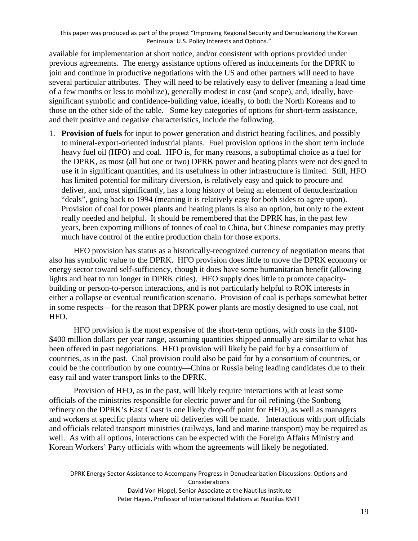available for implementation at short notice, and/or consistent with options provided under previous agreements. The energy assistance options offered as inducements for the DPRK to join and continue in productive negotiations with the US and other partners will need to have several particular attributes. They will need to be relatively easy to deliver (meaning a lead time of a few months or less to mobilize), generally modest in cost (and scope), and, ideally, have significant symbolic and confidence-building value, ideally, to both the North Koreans and to those on the other side of the table. Some key categories of options for short-term assistance, and their positive and negative characteristics, include the following.

1. **Provision of fuels** for input to power generation and district heating facilities, and possibly to mineral-export-oriented industrial plants. Fuel provision options in the short term include heavy fuel oil (HFO) and coal. HFO is, for many reasons, a suboptimal choice as a fuel for the DPRK, as most (all but one or two) DPRK power and heating plants were not designed to use it in significant quantities, and its usefulness in other infrastructure is limited. Still, HFO has limited potential for military diversion, is relatively easy and quick to procure and deliver, and, most significantly, has a long history of being an element of denuclearization "deals", going back to 1994 (meaning it is relatively easy for both sides to agree upon). Provision of coal for power plants and heating plants is also an option, but only to the extent really needed and helpful. It should be remembered that the DPRK has, in the past few years, been exporting millions of tonnes of coal to China, but Chinese companies may pretty much have control of the entire production chain for those exports.

HFO provision has status as a historically-recognized currency of negotiation means that also has symbolic value to the DPRK. HFO provision does little to move the DPRK economy or energy sector toward self-sufficiency, though it does have some humanitarian benefit (allowing lights and heat to run longer in DPRK cities). HFO supply does little to promote capacitybuilding or person-to-person interactions, and is not particularly helpful to ROK interests in either a collapse or eventual reunification scenario. Provision of coal is perhaps somewhat better in some respects—for the reason that DPRK power plants are mostly designed to use coal, not HFO.

HFO provision is the most expensive of the short-term options, with costs in the \$100- \$400 million dollars per year range, assuming quantities shipped annually are similar to what has been offered in past negotiations. HFO provision will likely be paid for by a consortium of countries, as in the past. Coal provision could also be paid for by a consortium of countries, or could be the contribution by one country—China or Russia being leading candidates due to their easy rail and water transport links to the DPRK.

Provision of HFO, as in the past, will likely require interactions with at least some officials of the ministries responsible for electric power and for oil refining (the Sonbong refinery on the DPRK's East Coast is one likely drop-off point for HFO), as well as managers and workers at specific plants where oil deliveries will be made. Interactions with port officials and officials related transport ministries (railways, land and marine transport) may be required as well. As with all options, interactions can be expected with the Foreign Affairs Ministry and Korean Workers' Party officials with whom the agreements will likely be negotiated.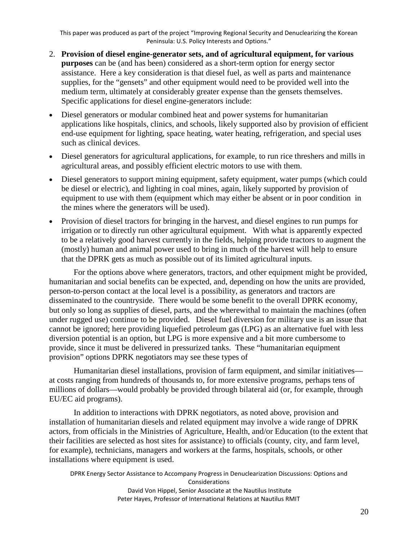- 2. **Provision of diesel engine-generator sets, and of agricultural equipment, for various purposes** can be (and has been) considered as a short-term option for energy sector assistance. Here a key consideration is that diesel fuel, as well as parts and maintenance supplies, for the "gensets" and other equipment would need to be provided well into the medium term, ultimately at considerably greater expense than the gensets themselves. Specific applications for diesel engine-generators include:
- Diesel generators or modular combined heat and power systems for humanitarian applications like hospitals, clinics, and schools, likely supported also by provision of efficient end-use equipment for lighting, space heating, water heating, refrigeration, and special uses such as clinical devices.
- Diesel generators for agricultural applications, for example, to run rice threshers and mills in agricultural areas, and possibly efficient electric motors to use with them.
- Diesel generators to support mining equipment, safety equipment, water pumps (which could be diesel or electric), and lighting in coal mines, again, likely supported by provision of equipment to use with them (equipment which may either be absent or in poor condition in the mines where the generators will be used).
- Provision of diesel tractors for bringing in the harvest, and diesel engines to run pumps for irrigation or to directly run other agricultural equipment. With what is apparently expected to be a relatively good harvest currently in the fields, helping provide tractors to augment the (mostly) human and animal power used to bring in much of the harvest will help to ensure that the DPRK gets as much as possible out of its limited agricultural inputs.

For the options above where generators, tractors, and other equipment might be provided, humanitarian and social benefits can be expected, and, depending on how the units are provided, person-to-person contact at the local level is a possibility, as generators and tractors are disseminated to the countryside. There would be some benefit to the overall DPRK economy, but only so long as supplies of diesel, parts, and the wherewithal to maintain the machines (often under rugged use) continue to be provided. Diesel fuel diversion for military use is an issue that cannot be ignored; here providing liquefied petroleum gas (LPG) as an alternative fuel with less diversion potential is an option, but LPG is more expensive and a bit more cumbersome to provide, since it must be delivered in pressurized tanks. These "humanitarian equipment provision" options DPRK negotiators may see these types of

Humanitarian diesel installations, provision of farm equipment, and similar initiatives at costs ranging from hundreds of thousands to, for more extensive programs, perhaps tens of millions of dollars—would probably be provided through bilateral aid (or, for example, through EU/EC aid programs).

In addition to interactions with DPRK negotiators, as noted above, provision and installation of humanitarian diesels and related equipment may involve a wide range of DPRK actors, from officials in the Ministries of Agriculture, Health, and/or Education (to the extent that their facilities are selected as host sites for assistance) to officials (county, city, and farm level, for example), technicians, managers and workers at the farms, hospitals, schools, or other installations where equipment is used.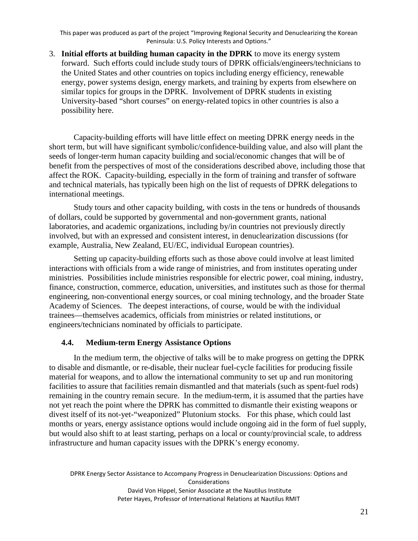3. **Initial efforts at building human capacity in the DPRK** to move its energy system forward. Such efforts could include study tours of DPRK officials/engineers/technicians to the United States and other countries on topics including energy efficiency, renewable energy, power systems design, energy markets, and training by experts from elsewhere on similar topics for groups in the DPRK. Involvement of DPRK students in existing University-based "short courses" on energy-related topics in other countries is also a possibility here.

Capacity-building efforts will have little effect on meeting DPRK energy needs in the short term, but will have significant symbolic/confidence-building value, and also will plant the seeds of longer-term human capacity building and social/economic changes that will be of benefit from the perspectives of most of the considerations described above, including those that affect the ROK. Capacity-building, especially in the form of training and transfer of software and technical materials, has typically been high on the list of requests of DPRK delegations to international meetings.

Study tours and other capacity building, with costs in the tens or hundreds of thousands of dollars, could be supported by governmental and non-government grants, national laboratories, and academic organizations, including by/in countries not previously directly involved, but with an expressed and consistent interest, in denuclearization discussions (for example, Australia, New Zealand, EU/EC, individual European countries).

Setting up capacity-building efforts such as those above could involve at least limited interactions with officials from a wide range of ministries, and from institutes operating under ministries. Possibilities include ministries responsible for electric power, coal mining, industry, finance, construction, commerce, education, universities, and institutes such as those for thermal engineering, non-conventional energy sources, or coal mining technology, and the broader State Academy of Sciences. The deepest interactions, of course, would be with the individual trainees—themselves academics, officials from ministries or related institutions, or engineers/technicians nominated by officials to participate.

## **4.4. Medium-term Energy Assistance Options**

In the medium term, the objective of talks will be to make progress on getting the DPRK to disable and dismantle, or re-disable, their nuclear fuel-cycle facilities for producing fissile material for weapons, and to allow the international community to set up and run monitoring facilities to assure that facilities remain dismantled and that materials (such as spent-fuel rods) remaining in the country remain secure. In the medium-term, it is assumed that the parties have not yet reach the point where the DPRK has committed to dismantle their existing weapons or divest itself of its not-yet-"weaponized" Plutonium stocks. For this phase, which could last months or years, energy assistance options would include ongoing aid in the form of fuel supply, but would also shift to at least starting, perhaps on a local or county/provincial scale, to address infrastructure and human capacity issues with the DPRK's energy economy.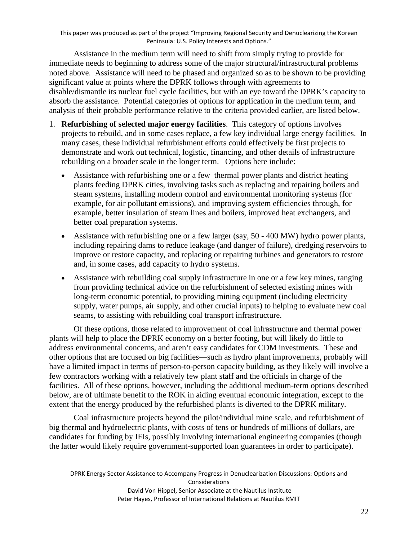Assistance in the medium term will need to shift from simply trying to provide for immediate needs to beginning to address some of the major structural/infrastructural problems noted above. Assistance will need to be phased and organized so as to be shown to be providing significant value at points where the DPRK follows through with agreements to disable/dismantle its nuclear fuel cycle facilities, but with an eye toward the DPRK's capacity to absorb the assistance. Potential categories of options for application in the medium term, and analysis of their probable performance relative to the criteria provided earlier, are listed below.

- 1. **Refurbishing of selected major energy facilities**. This category of options involves projects to rebuild, and in some cases replace, a few key individual large energy facilities. In many cases, these individual refurbishment efforts could effectively be first projects to demonstrate and work out technical, logistic, financing, and other details of infrastructure rebuilding on a broader scale in the longer term. Options here include:
	- Assistance with refurbishing one or a few thermal power plants and district heating plants feeding DPRK cities, involving tasks such as replacing and repairing boilers and steam systems, installing modern control and environmental monitoring systems (for example, for air pollutant emissions), and improving system efficiencies through, for example, better insulation of steam lines and boilers, improved heat exchangers, and better coal preparation systems.
	- Assistance with refurbishing one or a few larger (say, 50 400 MW) hydro power plants, including repairing dams to reduce leakage (and danger of failure), dredging reservoirs to improve or restore capacity, and replacing or repairing turbines and generators to restore and, in some cases, add capacity to hydro systems.
	- Assistance with rebuilding coal supply infrastructure in one or a few key mines, ranging from providing technical advice on the refurbishment of selected existing mines with long-term economic potential, to providing mining equipment (including electricity supply, water pumps, air supply, and other crucial inputs) to helping to evaluate new coal seams, to assisting with rebuilding coal transport infrastructure.

Of these options, those related to improvement of coal infrastructure and thermal power plants will help to place the DPRK economy on a better footing, but will likely do little to address environmental concerns, and aren't easy candidates for CDM investments. These and other options that are focused on big facilities—such as hydro plant improvements, probably will have a limited impact in terms of person-to-person capacity building, as they likely will involve a few contractors working with a relatively few plant staff and the officials in charge of the facilities. All of these options, however, including the additional medium-term options described below, are of ultimate benefit to the ROK in aiding eventual economic integration, except to the extent that the energy produced by the refurbished plants is diverted to the DPRK military.

Coal infrastructure projects beyond the pilot/individual mine scale, and refurbishment of big thermal and hydroelectric plants, with costs of tens or hundreds of millions of dollars, are candidates for funding by IFIs, possibly involving international engineering companies (though the latter would likely require government-supported loan guarantees in order to participate).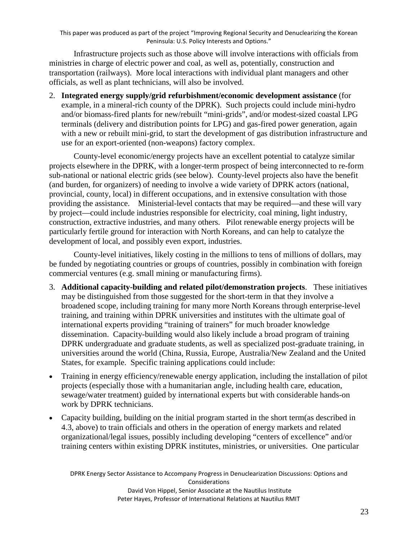Infrastructure projects such as those above will involve interactions with officials from ministries in charge of electric power and coal, as well as, potentially, construction and transportation (railways). More local interactions with individual plant managers and other officials, as well as plant technicians, will also be involved.

2. **Integrated energy supply/grid refurbishment/economic development assistance** (for example, in a mineral-rich county of the DPRK). Such projects could include mini-hydro and/or biomass-fired plants for new/rebuilt "mini-grids", and/or modest-sized coastal LPG terminals (delivery and distribution points for LPG) and gas-fired power generation, again with a new or rebuilt mini-grid, to start the development of gas distribution infrastructure and use for an export-oriented (non-weapons) factory complex.

County-level economic/energy projects have an excellent potential to catalyze similar projects elsewhere in the DPRK, with a longer-term prospect of being interconnected to re-form sub-national or national electric grids (see below). County-level projects also have the benefit (and burden, for organizers) of needing to involve a wide variety of DPRK actors (national, provincial, county, local) in different occupations, and in extensive consultation with those providing the assistance. Ministerial-level contacts that may be required—and these will vary by project—could include industries responsible for electricity, coal mining, light industry, construction, extractive industries, and many others. Pilot renewable energy projects will be particularly fertile ground for interaction with North Koreans, and can help to catalyze the development of local, and possibly even export, industries.

County-level initiatives, likely costing in the millions to tens of millions of dollars, may be funded by negotiating countries or groups of countries, possibly in combination with foreign commercial ventures (e.g. small mining or manufacturing firms).

- 3. **Additional capacity-building and related pilot/demonstration projects**. These initiatives may be distinguished from those suggested for the short-term in that they involve a broadened scope, including training for many more North Koreans through enterprise-level training, and training within DPRK universities and institutes with the ultimate goal of international experts providing "training of trainers" for much broader knowledge dissemination. Capacity-building would also likely include a broad program of training DPRK undergraduate and graduate students, as well as specialized post-graduate training, in universities around the world (China, Russia, Europe, Australia/New Zealand and the United States, for example. Specific training applications could include:
- Training in energy efficiency/renewable energy application, including the installation of pilot projects (especially those with a humanitarian angle, including health care, education, sewage/water treatment) guided by international experts but with considerable hands-on work by DPRK technicians.
- Capacity building, building on the initial program started in the short term(as described in 4.3, above) to train officials and others in the operation of energy markets and related organizational/legal issues, possibly including developing "centers of excellence" and/or training centers within existing DPRK institutes, ministries, or universities. One particular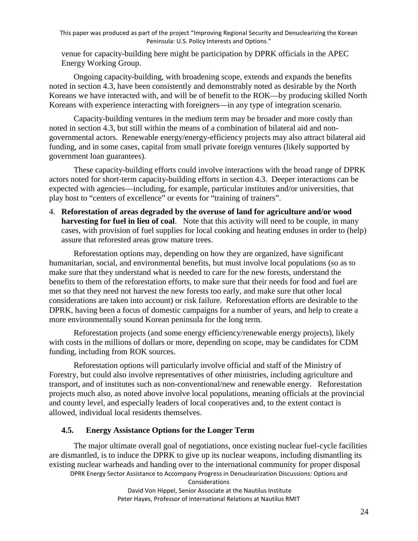venue for capacity-building here might be participation by DPRK officials in the APEC Energy Working Group.

Ongoing capacity-building, with broadening scope, extends and expands the benefits noted in section 4.3, have been consistently and demonstrably noted as desirable by the North Koreans we have interacted with, and will be of benefit to the ROK—by producing skilled North Koreans with experience interacting with foreigners—in any type of integration scenario.

Capacity-building ventures in the medium term may be broader and more costly than noted in section 4.3, but still within the means of a combination of bilateral aid and nongovernmental actors. Renewable energy/energy-efficiency projects may also attract bilateral aid funding, and in some cases, capital from small private foreign ventures (likely supported by government loan guarantees).

These capacity-building efforts could involve interactions with the broad range of DPRK actors noted for short-term capacity-building efforts in section 4.3. Deeper interactions can be expected with agencies—including, for example, particular institutes and/or universities, that play host to "centers of excellence" or events for "training of trainers".

4. **Reforestation of areas degraded by the overuse of land for agriculture and/or wood harvesting for fuel in lieu of coal**. Note that this activity will need to be couple, in many cases, with provision of fuel supplies for local cooking and heating enduses in order to (help) assure that reforested areas grow mature trees.

Reforestation options may, depending on how they are organized, have significant humanitarian, social, and environmental benefits, but must involve local populations (so as to make sure that they understand what is needed to care for the new forests, understand the benefits to them of the reforestation efforts, to make sure that their needs for food and fuel are met so that they need not harvest the new forests too early, and make sure that other local considerations are taken into account) or risk failure. Reforestation efforts are desirable to the DPRK, having been a focus of domestic campaigns for a number of years, and help to create a more environmentally sound Korean peninsula for the long term.

Reforestation projects (and some energy efficiency/renewable energy projects), likely with costs in the millions of dollars or more, depending on scope, may be candidates for CDM funding, including from ROK sources.

Reforestation options will particularly involve official and staff of the Ministry of Forestry, but could also involve representatives of other ministries, including agriculture and transport, and of institutes such as non-conventional/new and renewable energy. Reforestation projects much also, as noted above involve local populations, meaning officials at the provincial and county level, and especially leaders of local cooperatives and, to the extent contact is allowed, individual local residents themselves.

# **4.5. Energy Assistance Options for the Longer Term**

The major ultimate overall goal of negotiations, once existing nuclear fuel-cycle facilities are dismantled, is to induce the DPRK to give up its nuclear weapons, including dismantling its existing nuclear warheads and handing over to the international community for proper disposal

DPRK Energy Sector Assistance to Accompany Progress in Denuclearization Discussions: Options and Considerations

> David Von Hippel, Senior Associate at the Nautilus Institute Peter Hayes, Professor of International Relations at Nautilus RMIT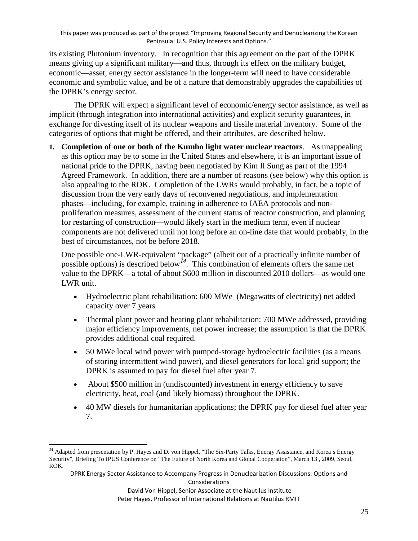its existing Plutonium inventory. In recognition that this agreement on the part of the DPRK means giving up a significant military—and thus, through its effect on the military budget, economic—asset, energy sector assistance in the longer-term will need to have considerable economic and symbolic value, and be of a nature that demonstrably upgrades the capabilities of the DPRK's energy sector.

The DPRK will expect a significant level of economic/energy sector assistance, as well as implicit (through integration into international activities) and explicit security guarantees, in exchange for divesting itself of its nuclear weapons and fissile material inventory. Some of the categories of options that might be offered, and their attributes, are described below.

**1. Completion of one or both of the Kumho light water nuclear reactors**. As unappealing as this option may be to some in the United States and elsewhere, it is an important issue of national pride to the DPRK, having been negotiated by Kim Il Sung as part of the 1994 Agreed Framework. In addition, there are a number of reasons (see below) why this option is also appealing to the ROK. Completion of the LWRs would probably, in fact, be a topic of discussion from the very early days of reconvened negotiations, and implementation phases—including, for example, training in adherence to IAEA protocols and nonproliferation measures, assessment of the current status of reactor construction, and planning for restarting of construction—would likely start in the medium term, even if nuclear components are not delivered until not long before an on-line date that would probably, in the best of circumstances, not be before 2018.

One possible one-LWR-equivalent "package" (albeit out of a practically infinite number of possible options) is described below<sup>[14](#page-25-0)</sup>. This combination of elements offers the same net value to the DPRK—a total of about \$600 million in discounted 2010 dollars—as would one LWR unit.

- Hydroelectric plant rehabilitation: 600 MWe (Megawatts of electricity) net added capacity over 7 years
- Thermal plant power and heating plant rehabilitation: 700 MWe addressed, providing major efficiency improvements, net power increase; the assumption is that the DPRK provides additional coal required.
- 50 MWe local wind power with pumped-storage hydroelectric facilities (as a means of storing intermittent wind power), and diesel generators for local grid support; the DPRK is assumed to pay for diesel fuel after year 7.
- About \$500 million in (undiscounted) investment in energy efficiency to save electricity, heat, coal (and likely biomass) throughout the DPRK.
- 40 MW diesels for humanitarian applications; the DPRK pay for diesel fuel after year 7.

<span id="page-25-0"></span>*<sup>14</sup>* Adapted from presentation by P. Hayes and D. von Hippel, "The Six-Party Talks, Energy Assistance, and Korea's Energy Security", Briefing To IPUS Conference on "The Future of North Korea and Global Cooperation", March 13 , 2009, Seoul, ROK.

DPRK Energy Sector Assistance to Accompany Progress in Denuclearization Discussions: Options and Considerations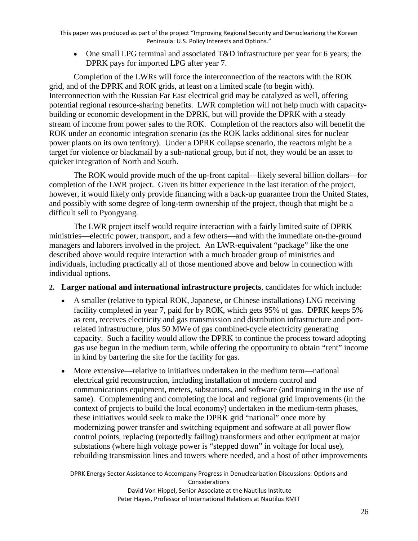• One small LPG terminal and associated T&D infrastructure per year for 6 years; the DPRK pays for imported LPG after year 7.

Completion of the LWRs will force the interconnection of the reactors with the ROK grid, and of the DPRK and ROK grids, at least on a limited scale (to begin with). Interconnection with the Russian Far East electrical grid may be catalyzed as well, offering potential regional resource-sharing benefits. LWR completion will not help much with capacitybuilding or economic development in the DPRK, but will provide the DPRK with a steady stream of income from power sales to the ROK. Completion of the reactors also will benefit the ROK under an economic integration scenario (as the ROK lacks additional sites for nuclear power plants on its own territory). Under a DPRK collapse scenario, the reactors might be a target for violence or blackmail by a sub-national group, but if not, they would be an asset to quicker integration of North and South.

The ROK would provide much of the up-front capital—likely several billion dollars—for completion of the LWR project. Given its bitter experience in the last iteration of the project, however, it would likely only provide financing with a back-up guarantee from the United States, and possibly with some degree of long-term ownership of the project, though that might be a difficult sell to Pyongyang.

The LWR project itself would require interaction with a fairly limited suite of DPRK ministries—electric power, transport, and a few others—and with the immediate on-the-ground managers and laborers involved in the project. An LWR-equivalent "package" like the one described above would require interaction with a much broader group of ministries and individuals, including practically all of those mentioned above and below in connection with individual options.

- **2. Larger national and international infrastructure projects**, candidates for which include:
	- A smaller (relative to typical ROK, Japanese, or Chinese installations) LNG receiving facility completed in year 7, paid for by ROK, which gets 95% of gas. DPRK keeps 5% as rent, receives electricity and gas transmission and distribution infrastructure and portrelated infrastructure, plus 50 MWe of gas combined-cycle electricity generating capacity. Such a facility would allow the DPRK to continue the process toward adopting gas use begun in the medium term, while offering the opportunity to obtain "rent" income in kind by bartering the site for the facility for gas.
	- More extensive—relative to initiatives undertaken in the medium term—national electrical grid reconstruction, including installation of modern control and communications equipment, meters, substations, and software (and training in the use of same). Complementing and completing the local and regional grid improvements (in the context of projects to build the local economy) undertaken in the medium-term phases, these initiatives would seek to make the DPRK grid "national" once more by modernizing power transfer and switching equipment and software at all power flow control points, replacing (reportedly failing) transformers and other equipment at major substations (where high voltage power is "stepped down" in voltage for local use), rebuilding transmission lines and towers where needed, and a host of other improvements

DPRK Energy Sector Assistance to Accompany Progress in Denuclearization Discussions: Options and Considerations David Von Hippel, Senior Associate at the Nautilus Institute

Peter Hayes, Professor of International Relations at Nautilus RMIT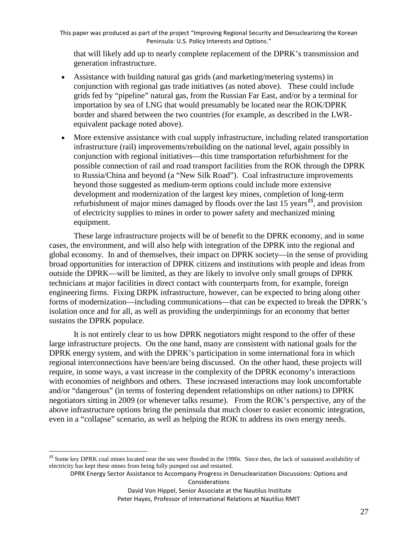that will likely add up to nearly complete replacement of the DPRK's transmission and generation infrastructure.

- Assistance with building natural gas grids (and marketing/metering systems) in conjunction with regional gas trade initiatives (as noted above). These could include grids fed by "pipeline" natural gas, from the Russian Far East, and/or by a terminal for importation by sea of LNG that would presumably be located near the ROK/DPRK border and shared between the two countries (for example, as described in the LWRequivalent package noted above).
- More extensive assistance with coal supply infrastructure, including related transportation infrastructure (rail) improvements/rebuilding on the national level, again possibly in conjunction with regional initiatives—this time transportation refurbishment for the possible connection of rail and road transport facilities from the ROK through the DPRK to Russia/China and beyond (a "New Silk Road"). Coal infrastructure improvements beyond those suggested as medium-term options could include more extensive development and modernization of the largest key mines, completion of long-term refurbishment of major mines damaged by floods over the last 15 years*[15](#page-27-0)* , and provision of electricity supplies to mines in order to power safety and mechanized mining equipment.

These large infrastructure projects will be of benefit to the DPRK economy, and in some cases, the environment, and will also help with integration of the DPRK into the regional and global economy. In and of themselves, their impact on DPRK society—in the sense of providing broad opportunities for interaction of DPRK citizens and institutions with people and ideas from outside the DPRK—will be limited, as they are likely to involve only small groups of DPRK technicians at major facilities in direct contact with counterparts from, for example, foreign engineering firms. Fixing DRPK infrastructure, however, can be expected to bring along other forms of modernization—including communications—that can be expected to break the DPRK's isolation once and for all, as well as providing the underpinnings for an economy that better sustains the DPRK populace.

It is not entirely clear to us how DPRK negotiators might respond to the offer of these large infrastructure projects. On the one hand, many are consistent with national goals for the DPRK energy system, and with the DPRK's participation in some international fora in which regional interconnections have been/are being discussed. On the other hand, these projects will require, in some ways, a vast increase in the complexity of the DPRK economy's interactions with economies of neighbors and others. These increased interactions may look uncomfortable and/or "dangerous" (in terms of fostering dependent relationships on other nations) to DPRK negotiators sitting in 2009 (or whenever talks resume). From the ROK's perspective, any of the above infrastructure options bring the peninsula that much closer to easier economic integration, even in a "collapse" scenario, as well as helping the ROK to address its own energy needs.

<span id="page-27-0"></span><sup>&</sup>lt;sup>15</sup> Some key DPRK coal mines located near the sea were flooded in the 1990s. Since then, the lack of sustained availability of electricity has kept these mines from being fully pumped out and restarted.

DPRK Energy Sector Assistance to Accompany Progress in Denuclearization Discussions: Options and Considerations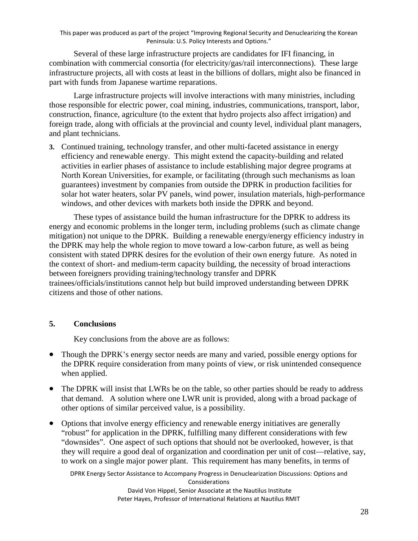Several of these large infrastructure projects are candidates for IFI financing, in combination with commercial consortia (for electricity/gas/rail interconnections). These large infrastructure projects, all with costs at least in the billions of dollars, might also be financed in part with funds from Japanese wartime reparations.

Large infrastructure projects will involve interactions with many ministries, including those responsible for electric power, coal mining, industries, communications, transport, labor, construction, finance, agriculture (to the extent that hydro projects also affect irrigation) and foreign trade, along with officials at the provincial and county level, individual plant managers, and plant technicians.

**3.** Continued training, technology transfer, and other multi-faceted assistance in energy efficiency and renewable energy. This might extend the capacity-building and related activities in earlier phases of assistance to include establishing major degree programs at North Korean Universities, for example, or facilitating (through such mechanisms as loan guarantees) investment by companies from outside the DPRK in production facilities for solar hot water heaters, solar PV panels, wind power, insulation materials, high-performance windows, and other devices with markets both inside the DPRK and beyond.

These types of assistance build the human infrastructure for the DPRK to address its energy and economic problems in the longer term, including problems (such as climate change mitigation) not unique to the DPRK. Building a renewable energy/energy efficiency industry in the DPRK may help the whole region to move toward a low-carbon future, as well as being consistent with stated DPRK desires for the evolution of their own energy future. As noted in the context of short- and medium-term capacity building, the necessity of broad interactions between foreigners providing training/technology transfer and DPRK trainees/officials/institutions cannot help but build improved understanding between DPRK citizens and those of other nations.

## **5. Conclusions**

Key conclusions from the above are as follows:

- Though the DPRK's energy sector needs are many and varied, possible energy options for the DPRK require consideration from many points of view, or risk unintended consequence when applied.
- The DPRK will insist that LWRs be on the table, so other parties should be ready to address that demand. A solution where one LWR unit is provided, along with a broad package of other options of similar perceived value, is a possibility.
- Options that involve energy efficiency and renewable energy initiatives are generally "robust" for application in the DPRK, fulfilling many different considerations with few "downsides". One aspect of such options that should not be overlooked, however, is that they will require a good deal of organization and coordination per unit of cost—relative, say, to work on a single major power plant. This requirement has many benefits, in terms of

DPRK Energy Sector Assistance to Accompany Progress in Denuclearization Discussions: Options and Considerations David Von Hippel, Senior Associate at the Nautilus Institute

Peter Hayes, Professor of International Relations at Nautilus RMIT